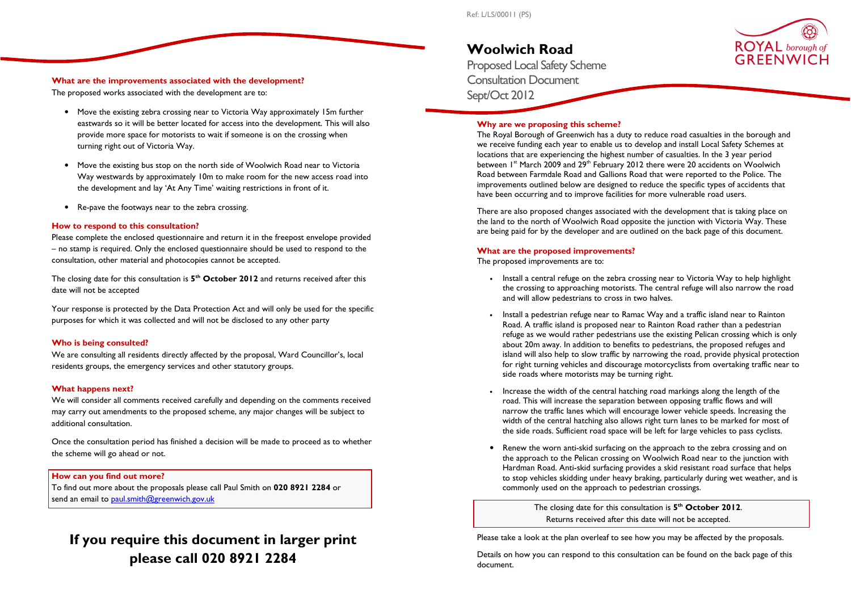# What are the improvements associated with the development?

The proposed works associated with the development are to:

- Move the existing zebra crossing near to Victoria Way approximately 15m further eastwards so it will be better located for access into the development. This will also provide more space for motorists to wait if someone is on the crossing when turning right out of Victoria Way.
- Move the existing bus stop on the north side of Woolwich Road near to Victoria Way westwards by approximately 10m to make room for the new access road into the development and lay 'At Any Time' waiting restrictions in front of it.
- Re-pave the footways near to the zebra crossing.

The closing date for this consultation is  $5<sup>th</sup>$  October 2012 and returns received after this date will not be accepted

# How to respond to this consultation?

We are consulting all residents directly affected by the proposal, Ward Councillor's, local residents groups, the emergency services and other statutory groups.

# What happens next?

Please complete the enclosed questionnaire and return it in the freepost envelope provided – no stamp is required. Only the enclosed questionnaire should be used to respond to the consultation, other material and photocopies cannot be accepted.

To find out more about the proposals please call Paul Smith on 020 8921 2284 or send an email to paul.smith@greenwich.gov.uk

Your response is protected by the Data Protection Act and will only be used for the specific purposes for which it was collected and will not be disclosed to any other party

#### Who is being consulted?

We will consider all comments received carefully and depending on the comments received may carry out amendments to the proposed scheme, any major changes will be subject to additional consultation.

Once the consultation period has finished a decision will be made to proceed as to whether the scheme will go ahead or not.

# How can you find out more?

# If you require this document in larger print please call 020 8921 2284

# Woolwich Road

 Proposed Local Safety Scheme Consultation Document Sept/Oct 2012

# Why are we proposing this scheme?

The closing date for this consultation is  $5<sup>th</sup>$  October 2012. Returns received after this date will not be accepted.

 The Royal Borough of Greenwich has a duty to reduce road casualties in the borough and we receive funding each year to enable us to develop and install Local Safety Schemes at locations that are experiencing the highest number of casualties. In the 3 year period between 1 $^{\rm st}$  March 2009 and 29 $^{\rm th}$  February 2012 there were 20 accidents on Woolwich Road between Farmdale Road and Gallions Road that were reported to the Police. The improvements outlined below are designed to reduce the specific types of accidents that have been occurring and to improve facilities for more vulnerable road users.

There are also proposed changes associated with the development that is taking place on the land to the north of Woolwich Road opposite the junction with Victoria Way. These are being paid for by the developer and are outlined on the back page of this document.

#### What are the proposed improvements?

The proposed improvements are to:

the crossing to approaching motorists. The central refuge will also narrow the road

 refuge as we would rather pedestrians use the existing Pelican crossing which is only about 20m away. In addition to benefits to pedestrians, the proposed refuges and island will also help to slow traffic by narrowing the road, provide physical protection for right turning vehicles and discourage motorcyclists from overtaking traffic near to

- Install a central refuge on the zebra crossing near to Victoria Way to help highlight and will allow pedestrians to cross in two halves.
- Install a pedestrian refuge near to Ramac Way and a traffic island near to Rainton Road. A traffic island is proposed near to Rainton Road rather than a pedestrian side roads where motorists may be turning right.
- Increase the width of the central hatching road markings along the length of the road. This will increase the separation between opposing traffic flows and will the side roads. Sufficient road space will be left for large vehicles to pass cyclists.
- Renew the worn anti-skid surfacing on the approach to the zebra crossing and on commonly used on the approach to pedestrian crossings.

 narrow the traffic lanes which will encourage lower vehicle speeds. Increasing the width of the central hatching also allows right turn lanes to be marked for most of

the approach to the Pelican crossing on Woolwich Road near to the junction with Hardman Road. Anti-skid surfacing provides a skid resistant road surface that helps to stop vehicles skidding under heavy braking, particularly during wet weather, and is

Please take a look at the plan overleaf to see how you may be affected by the proposals.

Details on how you can respond to this consultation can be found on the back page of this document.